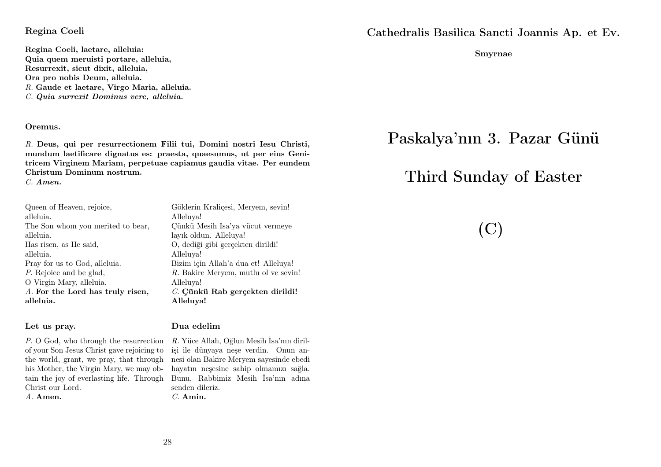#### Regina Coeli

Regina Coeli, laetare, alleluia: Quia quem meruisti portare, alleluia, Resurrexit, sicut dixit, alleluia, Ora pro nobis Deum, alleluia. R. Gaude et laetare, Virgo Maria, alleluia. C. Quia surrexit Dominus vere, alleluia.

#### Oremus.

R. Deus, qui per resurrectionem Filii tui, Domini nostri Iesu Christi, mundum laetificare dignatus es: praesta, quaesumus, ut per eius Genitricem Virginem Mariam, perpetuae capiamus gaudia vitae. Per eundem Christum Dominum nostrum.

C. Amen.

| Queen of Heaven, rejoice,         |
|-----------------------------------|
| alleluia.                         |
| The Son whom you merited to bear, |
| alleluia.                         |
| Has risen, as He said,            |
| alleluia.                         |
| Pray for us to God, alleluia.     |
| P. Rejoice and be glad,           |
| O Virgin Mary, alleluia.          |
| A. For the Lord has truly risen,  |
| alleluia.                         |

#### Let us pray.

P. O God, who through the resurrection R. Yüce Allah, Oğlun Mesih İsa'nın dirilof your Son Jesus Christ gave rejoicing to the world, grant, we pray, that through nesi olan Bakire Meryem sayesinde ebedi his Mother, the Virgin Mary, we may obtain the joy of everlasting life. Through Bunu, Rabbimiz Mesih İsa'nın adına Christ our Lord. A. Amen.

Alleluya! Çünkü Mesih İsa'ya vücut vermeye layık oldun. Alleluya! O, dediği gibi gerçekten dirildi! Alleluya! Bizim için Allah'a dua et! Alleluya! R. Bakire Meryem, mutlu ol ve sevin! Alleluya! C. Cünkü Rab gerçekten dirildi! Alleluya!

Göklerin Kraliçesi, Meryem, sevin!

#### Dua edelim

işi ile dünyaya neşe verdin. Onun anhayatın neşesine sahip olmamızı sağla. senden dileriz. C. Amin.

Cathedralis Basilica Sancti Joannis Ap. et Ev.

Smyrnae

# Paskalya'nın 3. Pazar Günü

# Third Sunday of Easter

(C)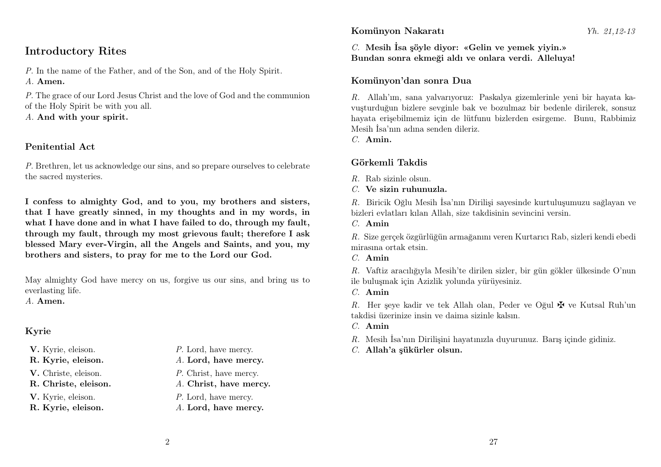## Komünyon Nakaratı Yh. 21,12-13

## Introductory Rites

P. In the name of the Father, and of the Son, and of the Holy Spirit. A. Amen.

P. The grace of our Lord Jesus Christ and the love of God and the communion of the Holy Spirit be with you all.

A. And with your spirit.

## Penitential Act

P. Brethren, let us acknowledge our sins, and so prepare ourselves to celebrate the sacred mysteries.

I confess to almighty God, and to you, my brothers and sisters, that I have greatly sinned, in my thoughts and in my words, in what I have done and in what I have failed to do, through my fault, through my fault, through my most grievous fault; therefore I ask blessed Mary ever-Virgin, all the Angels and Saints, and you, my brothers and sisters, to pray for me to the Lord our God.

May almighty God have mercy on us, forgive us our sins, and bring us to everlasting life.

A. Amen.

## Kyrie

- 
- 
- 
- 

- V. Kyrie, eleison.  $P.$  Lord, have mercy.
- R. Kyrie, eleison. A. Lord, have mercy.
- V. Christe, eleison. P. Christ, have mercy.
- R. Christe, eleison. A. Christ, have mercy.
- V. Kyrie, eleison.  $P$ . Lord, have mercy.
- R. Kyrie, eleison. A. Lord, have mercy.

C. Mesih İsa şöyle diyor: «Gelin ve yemek yiyin.» Bundan sonra ekmeği aldı ve onlara verdi. Alleluya!

## Komünyon'dan sonra Dua

R. Allah'ım, sana yalvarıyoruz: Paskalya gizemlerinle yeni bir hayata kavuşturduğun bizlere sevginle bak ve bozulmaz bir bedenle dirilerek, sonsuz hayata erişebilmemiz için de lütfunu bizlerden esirgeme. Bunu, Rabbimiz Mesih İsa'nın adına senden dileriz.

C. Amin.

## Görkemli Takdis

- $R$ . Rab sizinle olsun.
- $C$ . Ve sizin ruhunuzla.

R. Biricik Oğlu Mesih İsa'nın Dirilişi sayesinde kurtuluşumuzu sağlayan ve bizleri evlatları kılan Allah, size takdisinin sevincini versin.

C. Amin

R. Size gerçek özgürlüğün armağanını veren Kurtarıcı Rab, sizleri kendi ebedi mirasına ortak etsin.

C. Amin

R. Vaftiz aracılığıyla Mesih'te dirilen sizler, bir gün gökler ülkesinde O'nun ile buluşmak için Azizlik yolunda yürüyesiniz.

C. Amin

R. Her şeye kadir ve tek Allah olan, Peder ve Oğul  $\mathbf{\nabla}$  ve Kutsal Ruh'un takdisi üzerinize insin ve daima sizinle kalsın.

- $C$  Amin
- R. Mesih İsa'nın Dirilişini hayatınızla duyurunuz. Barış içinde gidiniz.
- C. Allah'a şükürler olsun.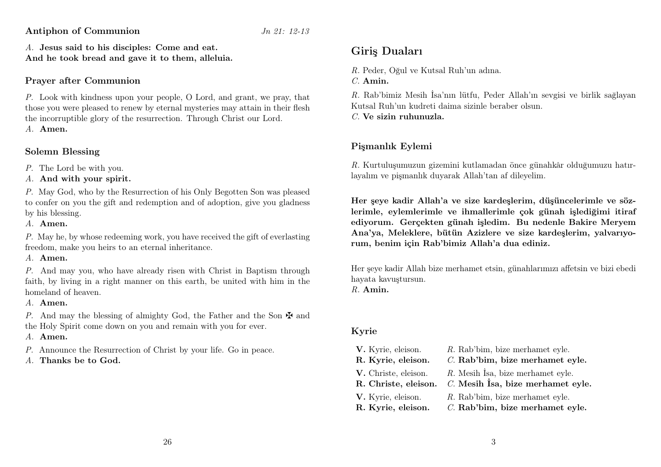Antiphon of Communion Jn 21: 12-13

A. Jesus said to his disciples: Come and eat. And he took bread and gave it to them, alleluia.

## Prayer after Communion

P. Look with kindness upon your people, O Lord, and grant, we pray, that those you were pleased to renew by eternal mysteries may attain in their flesh the incorruptible glory of the resurrection. Through Christ our Lord. A. Amen.

## Solemn Blessing

P. The Lord be with you.

A. And with your spirit.

P. May God, who by the Resurrection of his Only Begotten Son was pleased to confer on you the gift and redemption and of adoption, give you gladness by his blessing.

A. Amen.

P. May he, by whose redeeming work, you have received the gift of everlasting freedom, make you heirs to an eternal inheritance.

A. Amen.

P. And may you, who have already risen with Christ in Baptism through faith, by living in a right manner on this earth, be united with him in the homeland of heaven.

A. Amen.

P. And may the blessing of almighty God, the Father and the Son  $\mathbf{\Psi}$  and the Holy Spirit come down on you and remain with you for ever.

A. Amen.

P. Announce the Resurrection of Christ by your life. Go in peace.

A. Thanks be to God.

## Giriş Duaları

R. Peder, Oğul ve Kutsal Ruh'un adına.

C. Amin.

R. Rab'bimiz Mesih İsa'nın lütfu, Peder Allah'ın sevgisi ve birlik sağlayan Kutsal Ruh'un kudreti daima sizinle beraber olsun.

 $C$ . Ve sizin ruhunuzla.

## Pişmanlık Eylemi

R. Kurtuluşumuzun gizemini kutlamadan önce günahkâr olduğumuzu hatırlayalım ve pişmanlık duyarak Allah'tan af dileyelim.

Her şeye kadir Allah'a ve size kardeşlerim, düşüncelerimle ve sözlerimle, eylemlerimle ve ihmallerimle çok günah işlediğimi itiraf ediyorum. Gerçekten günah işledim. Bu nedenle Bakire Meryem Ana'ya, Meleklere, bütün Azizlere ve size kardeşlerim, yalvarıyorum, benim için Rab'bimiz Allah'a dua ediniz.

Her şeye kadir Allah bize merhamet etsin, günahlarımızı affetsin ve bizi ebedi hayata kavuştursun.

R. Amin.

## Kyrie

| V. Kyrie, eleison.   | R. Rab'bim, bize merhamet eyle.      |
|----------------------|--------------------------------------|
| R. Kyrie, eleison.   | C. Rab'bim, bize merhamet eyle.      |
| V. Christe, eleison. | $R$ . Mesih İsa, bize merhamet eyle. |
| R. Christe, eleison. | $C.$ Mesih Isa, bize merhamet eyle.  |
| V. Kyrie, eleison.   | R. Rab'bim, bize merhamet eyle.      |
| R. Kyrie, eleison.   | C. Rab'bim, bize merhamet eyle.      |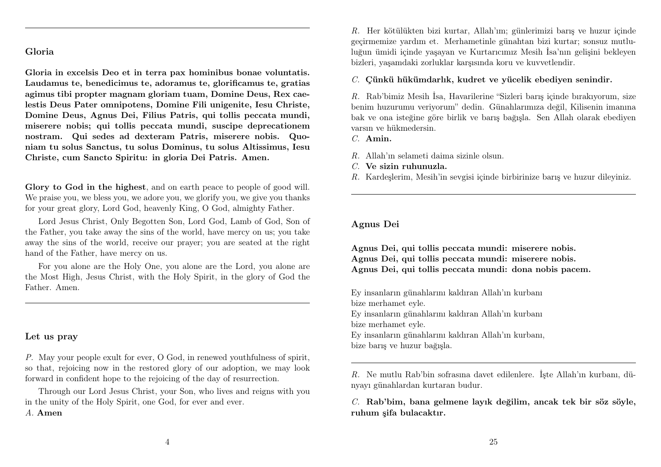#### Gloria

Gloria in excelsis Deo et in terra pax hominibus bonae voluntatis. Laudamus te, benedicimus te, adoramus te, glorificamus te, gratias agimus tibi propter magnam gloriam tuam, Domine Deus, Rex caelestis Deus Pater omnipotens, Domine Fili unigenite, Iesu Christe, Domine Deus, Agnus Dei, Filius Patris, qui tollis peccata mundi, miserere nobis; qui tollis peccata mundi, suscipe deprecationem nostram. Qui sedes ad dexteram Patris, miserere nobis. Quoniam tu solus Sanctus, tu solus Dominus, tu solus Altissimus, Iesu Christe, cum Sancto Spiritu: in gloria Dei Patris. Amen.

Glory to God in the highest, and on earth peace to people of good will. We praise you, we bless you, we adore you, we glorify you, we give you thanks for your great glory, Lord God, heavenly King, O God, almighty Father.

Lord Jesus Christ, Only Begotten Son, Lord God, Lamb of God, Son of the Father, you take away the sins of the world, have mercy on us; you take away the sins of the world, receive our prayer; you are seated at the right hand of the Father, have mercy on us.

For you alone are the Holy One, you alone are the Lord, you alone are the Most High, Jesus Christ, with the Holy Spirit, in the glory of God the Father. Amen.

#### Let us pray

P. May your people exult for ever, O God, in renewed youthfulness of spirit, so that, rejoicing now in the restored glory of our adoption, we may look forward in confident hope to the rejoicing of the day of resurrection.

Through our Lord Jesus Christ, your Son, who lives and reigns with you in the unity of the Holy Spirit, one God, for ever and ever.

#### A. Amen

R. Her kötülükten bizi kurtar, Allah'ım; günlerimizi barış ve huzur içinde geçirmemize yardım et. Merhametinle günahtan bizi kurtar; sonsuz mutluluğun ümidi içinde yaşayan ve Kurtarıcımız Mesih İsa'nın gelişini bekleyen bizleri, yaşamdaki zorluklar karşısında koru ve kuvvetlendir.

C. Çünkü hükümdarlık, kudret ve yücelik ebediyen senindir.

R. Rab'bimiz Mesih İsa, Havarilerine "Sizleri barış içinde bırakıyorum, size benim huzurumu veriyorum" dedin. Günahlarımıza değil, Kilisenin imanına bak ve ona isteğine göre birlik ve barış bağışla. Sen Allah olarak ebediyen varsın ve hükmedersin.

C. Amin.

- R. Allah'ın selameti daima sizinle olsun.
- C. Ve sizin ruhunuzla.
- R. Kardeşlerim, Mesih'in sevgisi içinde birbirinize barış ve huzur dileyiniz.

#### Agnus Dei

Agnus Dei, qui tollis peccata mundi: miserere nobis. Agnus Dei, qui tollis peccata mundi: miserere nobis. Agnus Dei, qui tollis peccata mundi: dona nobis pacem.

Ey insanların günahlarını kaldıran Allah'ın kurbanı bize merhamet eyle.

Ey insanların günahlarını kaldıran Allah'ın kurbanı bize merhamet eyle.

Ey insanların günahlarını kaldıran Allah'ın kurbanı, bize barış ve huzur bağışla.

R. Ne mutlu Rab'bin sofrasına davet edilenlere. İşte Allah'ın kurbanı, dünyayı günahlardan kurtaran budur.

C. Rab'bim, bana gelmene layık değilim, ancak tek bir söz söyle, ruhum şifa bulacaktır.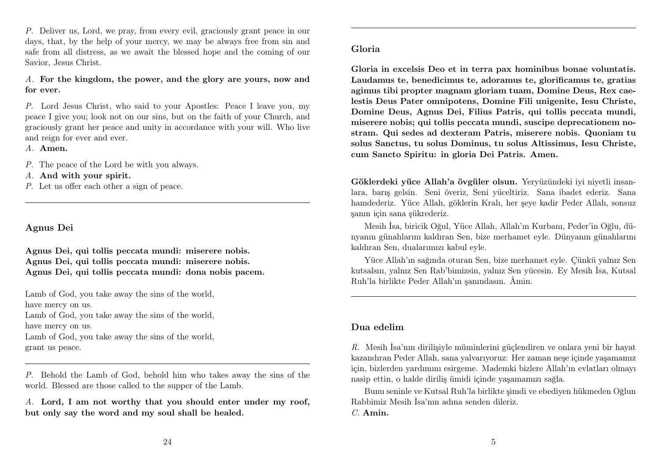P. Deliver us, Lord, we pray, from every evil, graciously grant peace in our days, that, by the help of your mercy, we may be always free from sin and safe from all distress, as we await the blessed hope and the coming of our Savior, Jesus Christ.

A. For the kingdom, the power, and the glory are yours, now and for ever.

P. Lord Jesus Christ, who said to your Apostles: Peace I leave you, my peace I give you; look not on our sins, but on the faith of your Church, and graciously grant her peace and unity in accordance with your will. Who live and reign for ever and ever.

A. Amen.

P. The peace of the Lord be with you always.

A. And with your spirit.

P. Let us offer each other a sign of peace.

#### Agnus Dei

Agnus Dei, qui tollis peccata mundi: miserere nobis. Agnus Dei, qui tollis peccata mundi: miserere nobis. Agnus Dei, qui tollis peccata mundi: dona nobis pacem.

Lamb of God, you take away the sins of the world, have mercy on us. Lamb of God, you take away the sins of the world, have mercy on us. Lamb of God, you take away the sins of the world, grant us peace.

P. Behold the Lamb of God, behold him who takes away the sins of the world. Blessed are those called to the supper of the Lamb.

A. Lord, I am not worthy that you should enter under my roof, but only say the word and my soul shall be healed.

Gloria in excelsis Deo et in terra pax hominibus bonae voluntatis. Laudamus te, benedicimus te, adoramus te, glorificamus te, gratias agimus tibi propter magnam gloriam tuam, Domine Deus, Rex caelestis Deus Pater omnipotens, Domine Fili unigenite, Iesu Christe, Domine Deus, Agnus Dei, Filius Patris, qui tollis peccata mundi, miserere nobis; qui tollis peccata mundi, suscipe deprecationem nostram. Qui sedes ad dexteram Patris, miserere nobis. Quoniam tu solus Sanctus, tu solus Dominus, tu solus Altissimus, Iesu Christe, cum Sancto Spiritu: in gloria Dei Patris. Amen.

Göklerdeki yüce Allah'a övgüler olsun. Yeryüzündeki iyi niyetli insanlara, barış gelsin. Seni överiz, Seni yüceltiriz. Sana ibadet ederiz. Sana hamdederiz. Yüce Allah, göklerin Kralı, her şeye kadir Peder Allah, sonsuz şanın için sana şükrederiz.

Mesih İsa, biricik Oğul, Yüce Allah, Allah'ın Kurbanı, Peder'in Oğlu, dünyanın günahlarını kaldıran Sen, bize merhamet eyle. Dünyanın günahlarını kaldıran Sen, dualarımızı kabul eyle.

Yüce Allah'ın sağında oturan Sen, bize merhamet eyle. Çünkü yalnız Sen kutsalsın, yalnız Sen Rab'bimizsin, yalnız Sen yücesin. Ey Mesih İsa, Kutsal Ruh'la birlikte Peder Allah'ın şanındasın. Âmin.

## Dua edelim

R. Mesih İsa'nın dirilişiyle müminlerini güçlendiren ve onlara yeni bir hayat kazandıran Peder Allah, sana yalvarıyoruz: Her zaman neşe içinde yaşamamız için, bizlerden yardımını esirgeme. Mademki bizlere Allah'ın evlatları olmayı nasip ettin, o halde diriliş ümidi içinde yaşamamızı sağla.

Bunu seninle ve Kutsal Ruh'la birlikte şimdi ve ebediyen hükmeden Oğlun Rabbimiz Mesih İsa'nın adına senden dileriz. C. Amin.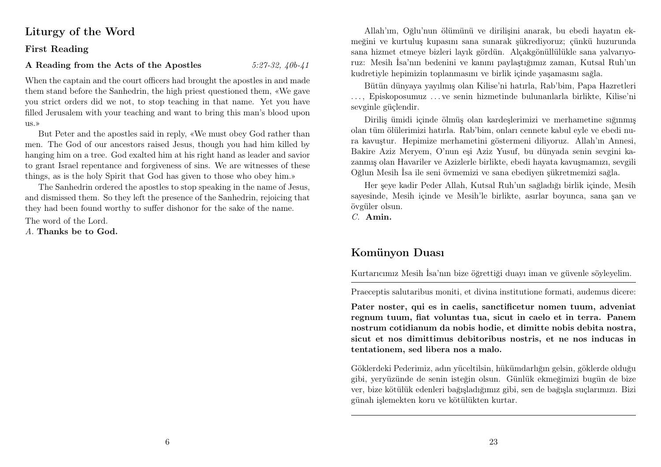## Liturgy of the Word

#### First Reading

## A Reading from the Acts of the Apostles  $5:27-32, 40b-41$

When the captain and the court officers had brought the apostles in and made them stand before the Sanhedrin, the high priest questioned them, «We gave you strict orders did we not, to stop teaching in that name. Yet you have filled Jerusalem with your teaching and want to bring this man's blood upon us.»

But Peter and the apostles said in reply, «We must obey God rather than men. The God of our ancestors raised Jesus, though you had him killed by hanging him on a tree. God exalted him at his right hand as leader and savior to grant Israel repentance and forgiveness of sins. We are witnesses of these things, as is the holy Spirit that God has given to those who obey him.»

The Sanhedrin ordered the apostles to stop speaking in the name of Jesus, and dismissed them. So they left the presence of the Sanhedrin, rejoicing that they had been found worthy to suffer dishonor for the sake of the name.

The word of the Lord.

A. Thanks be to God.

Allah'ım, Oğlu'nun ölümünü ve dirilişini anarak, bu ebedi hayatın ekmeğini ve kurtuluş kupasını sana sunarak şükrediyoruz; çünkü huzurunda sana hizmet etmeye bizleri layık gördün. Alçakgönüllülükle sana yalvarıyoruz: Mesih İsa'nın bedenini ve kanını paylaştığımız zaman, Kutsal Ruh'un kudretiyle hepimizin toplanmasını ve birlik içinde yaşamasını sağla.

Bütün dünyaya yayılmış olan Kilise'ni hatırla, Rab'bim, Papa Hazretleri . . . , Episkoposumuz . . . ve senin hizmetinde bulunanlarla birlikte, Kilise'ni sevginle güçlendir.

Diriliş ümidi içinde ölmüş olan kardeşlerimizi ve merhametine sığınmış olan tüm ölülerimizi hatırla. Rab'bim, onları cennete kabul eyle ve ebedi nura kavuştur. Hepimize merhametini göstermeni diliyoruz. Allah'ın Annesi, Bakire Aziz Meryem, O'nun eşi Aziz Yusuf, bu dünyada senin sevgini kazanmış olan Havariler ve Azizlerle birlikte, ebedi hayata kavuşmamızı, sevgili Oğlun Mesih İsa ile seni övmemizi ve sana ebediyen şükretmemizi sağla.

Her şeye kadir Peder Allah, Kutsal Ruh'un sağladığı birlik içinde, Mesih sayesinde, Mesih içinde ve Mesih'le birlikte, asırlar boyunca, sana şan ve övgüler olsun.

C. Amin.

## Komünyon Duası

Kurtarıcımız Mesih İsa'nın bize öğrettiği duayı iman ve güvenle söyleyelim.

Praeceptis salutaribus moniti, et divina institutione formati, audemus dicere:

Pater noster, qui es in caelis, sanctificetur nomen tuum, adveniat regnum tuum, fiat voluntas tua, sicut in caelo et in terra. Panem nostrum cotidianum da nobis hodie, et dimitte nobis debita nostra, sicut et nos dimittimus debitoribus nostris, et ne nos inducas in tentationem, sed libera nos a malo.

Göklerdeki Pederimiz, adın yüceltilsin, hükümdarlığın gelsin, göklerde olduğu gibi, yeryüzünde de senin isteğin olsun. Günlük ekmeğimizi bugün de bize ver, bize kötülük edenleri bağışladığımız gibi, sen de bağışla suçlarımızı. Bizi günah işlemekten koru ve kötülükten kurtar.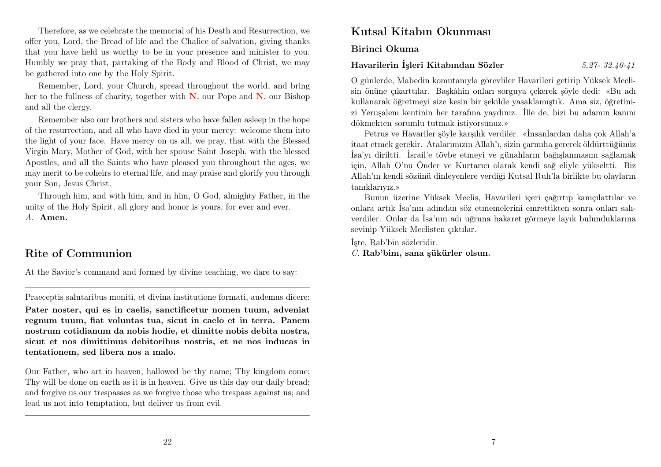Therefore, as we celebrate the memorial of his Death and Resurrection, we offer you, Lord, the Bread of life and the Chalice of salvation, giving thanks that you have held us worthy to be in your presence and minister to you. Humbly we pray that, partaking of the Body and Blood of Christ, we may be gathered into one by the Holy Spirit.

Remember, Lord, your Church, spread throughout the world, and bring her to the fullness of charity, together with  $N$ , our Pope and  $N$ , our Bishop and all the clergy.

Remember also our brothers and sisters who have fallen asleep in the hope of the resurrection, and all who have died in your mercy: welcome them into the light of your face. Have mercy on us all, we pray, that with the Blessed Virgin Mary, Mother of God, with her spouse Saint Joseph, with the blessed Apostles, and all the Saints who have pleased you throughout the ages, we may merit to be coheirs to eternal life, and may praise and glorify you through your Son, Jesus Christ.

Through him, and with him, and in him, O God, almighty Father, in the unity of the Holy Spirit, all glory and honor is yours, for ever and ever. A. Amen.

## Rite of Communion

At the Savior's command and formed by divine teaching, we dare to say:

Praeceptis salutaribus moniti, et divina institutione formati, audemus dicere:

Pater noster, qui es in caelis, sanctificetur nomen tuum, adveniat regnum tuum, fiat voluntas tua, sicut in caelo et in terra. Panem nostrum cotidianum da nobis hodie, et dimitte nobis debita nostra, sicut et nos dimittimus debitoribus nostris, et ne nos inducas in tentationem, sed libera nos a malo.

Our Father, who art in heaven, hallowed be thy name; Thy kingdom come; Thy will be done on earth as it is in heaven. Give us this day our daily bread; and forgive us our trespasses as we forgive those who trespass against us; and lead us not into temptation, but deliver us from evil.

## Kutsal Kitabın Okunması

Birinci Okuma

## Havarilerin İşleri Kitabından Sözler 5,27- 32.40-41

O günlerde, Mabedin komutanıyla görevliler Havarileri getirip Yüksek Meclisin önüne çıkarttılar. Başkâhin onları sorguya çekerek şöyle dedi: «Bu adı kullanarak öğretmeyi size kesin bir şekilde yasaklamıştık. Ama siz, öğretinizi Yeruşalem kentinin her tarafına yaydınız. İlle de, bizi bu adamın kanını dökmekten sorumlu tutmak istiyorsunuz.»

Petrus ve Havariler şöyle karşılık verdiler. «İnsanlardan daha çok Allah'a itaat etmek gerekir. Atalarımızın Allah'ı, sizin çarmıha gererek öldürttüğünüz İsa'yı diriltti. İsrail'e tövbe etmeyi ve günahların bağışlanmasını sağlamak için, Allah O'nu Önder ve Kurtarıcı olarak kendi sağ eliyle yükseltti. Biz Allah'ın kendi sözünü dinleyenlere verdiği Kutsal Ruh'la birlikte bu olayların tanıklarıyız.»

Bunun üzerine Yüksek Meclis, Havarileri içeri çağırtıp kamçılattılar ve onlara artık İsa'nın adından söz etmemelerini emrettikten sonra onları salıverdiler. Onlar da İsa'nın adı uğruna hakaret görmeye layık bulunduklarına sevinip Yüksek Meclisten çıktılar.

İşte, Rab'bin sözleridir. C. Rab'bim, sana şükürler olsun.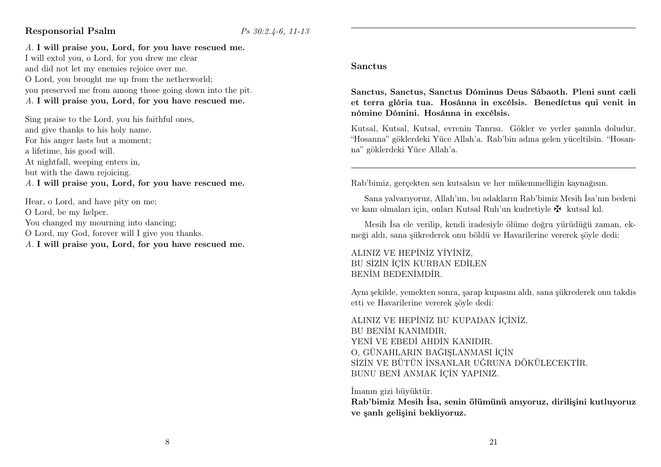## Responsorial Psalm  $\frac{P}{s}$  30:2.4-6, 11-13

A. I will praise you, Lord, for you have rescued me.

I will extol you, o Lord, for you drew me clear and did not let my enemies rejoice over me. O Lord, you brought me up from the netherworld; you preserved me from among those going down into the pit. A. I will praise you, Lord, for you have rescued me.

Sing praise to the Lord, you his faithful ones, and give thanks to his holy name. For his anger lasts but a moment; a lifetime, his good will. At nightfall, weeping enters in, but with the dawn rejoicing. A. I will praise you, Lord, for you have rescued me.

Hear, o Lord, and have pity on me; O Lord, be my helper. You changed my mourning into dancing; O Lord, my God, forever will I give you thanks. A. I will praise you, Lord, for you have rescued me.

#### Sanctus

Sanctus, Sanctus, Sanctus Dóminus Deus Sábaoth. Pleni sunt cæli et terra glória tua. Hosánna in excélsis. Benedíctus qui venit in nómine Dómini. Hosánna in excélsis.

Kutsal, Kutsal, Kutsal, evrenin Tanrısı. Gökler ve yerler şanınla doludur. "Hosanna" göklerdeki Yüce Allah'a. Rab'bin adına gelen yüceltilsin. "Hosanna" göklerdeki Yüce Allah'a.

Rab'bimiz, gerçekten sen kutsalsın ve her mükemmelliğin kaynağısın.

Sana yalvarıyoruz, Allah'ım, bu adakların Rab'bimiz Mesih İsa'nın bedeni ve kanı olmaları için, onları Kutsal Ruh'un kudretiyle  $\mathbf{\Psi}$  kutsal kıl.

Mesih İsa ele verilip, kendi iradesiyle ölüme doğru yürüdüğü zaman, ekmeği aldı, sana şükrederek onu böldü ve Havarilerine vererek şöyle dedi:

ALINIZ VE HEPİNİZ YİYİNİZ, BU SİZİN İÇİN KURBAN EDİLEN BENİM BEDENİMDİR.

Aynı şekilde, yemekten sonra, şarap kupasını aldı, sana şükrederek onu takdis etti ve Havarilerine vererek şöyle dedi:

ALINIZ VE HEPİNİZ BU KUPADAN İÇİNİZ, BU BENİM KANIMDIR, YENİ VE EBEDİ AHDİN KANIDIR. O, GÜNAHLARIN BAĞIŞLANMASI İÇİN SİZİN VE BÜTÜN İNSANLAR UĞRUNA DÖKÜLECEKTİR. BUNU BENİ ANMAK İÇİN YAPINIZ.

İmanın gizi büyüktür.

Rab'bimiz Mesih İsa, senin ölümünü anıyoruz, dirilişini kutluyoruz ve şanlı gelişini bekliyoruz.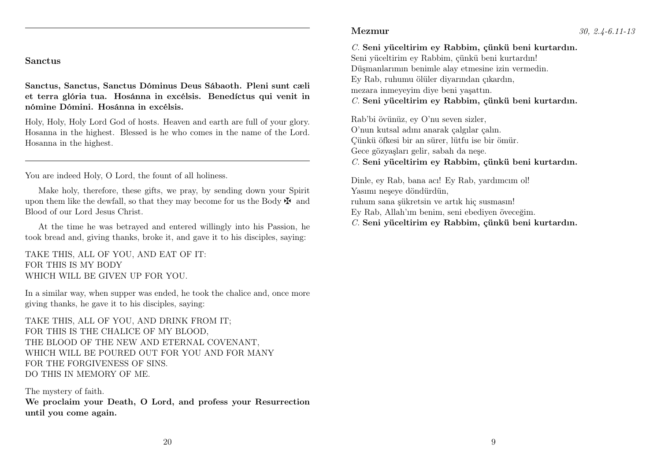#### Sanctus

Sanctus, Sanctus, Sanctus Dóminus Deus Sábaoth. Pleni sunt cæli et terra glória tua. Hosánna in excélsis. Benedíctus qui venit in nómine Dómini. Hosánna in excélsis.

Holy, Holy, Holy Lord God of hosts. Heaven and earth are full of your glory. Hosanna in the highest. Blessed is he who comes in the name of the Lord. Hosanna in the highest.

You are indeed Holy, O Lord, the fount of all holiness.

Make holy, therefore, these gifts, we pray, by sending down your Spirit upon them like the dewfall, so that they may become for us the Body  $\mathbf{\ddot{F}}$  and Blood of our Lord Jesus Christ.

At the time he was betrayed and entered willingly into his Passion, he took bread and, giving thanks, broke it, and gave it to his disciples, saying:

TAKE THIS, ALL OF YOU, AND EAT OF IT: FOR THIS IS MY BODY WHICH WILL BE GIVEN UP FOR YOU.

In a similar way, when supper was ended, he took the chalice and, once more giving thanks, he gave it to his disciples, saying:

TAKE THIS, ALL OF YOU, AND DRINK FROM IT; FOR THIS IS THE CHALICE OF MY BLOOD, THE BLOOD OF THE NEW AND ETERNAL COVENANT, WHICH WILL BE POURED OUT FOR YOU AND FOR MANY FOR THE FORGIVENESS OF SINS. DO THIS IN MEMORY OF ME.

The mystery of faith. We proclaim your Death, O Lord, and profess your Resurrection until you come again.

C. Seni yüceltirim ey Rabbim, çünkü beni kurtardın. Seni yüceltirim ey Rabbim, çünkü beni kurtardın! Düşmanlarımın benimle alay etmesine izin vermedin. Ey Rab, ruhumu ölüler diyarından çıkardın, mezara inmeyeyim diye beni yaşattın.

C. Seni yüceltirim ey Rabbim, çünkü beni kurtardın.

Rab'bi övünüz, ey O'nu seven sizler, O'nun kutsal adını anarak çalgılar çalın. Çünkü öfkesi bir an sürer, lütfu ise bir ömür. Gece gözyaşları gelir, sabah da neşe. C. Seni yüceltirim ey Rabbim, çünkü beni kurtardın.

Dinle, ey Rab, bana acı! Ey Rab, yardımcım ol! Yasımı neşeye döndürdün, ruhum sana şükretsin ve artık hiç susmasın! Ey Rab, Allah'ım benim, seni ebediyen öveceğim. C. Seni yüceltirim ey Rabbim, çünkü beni kurtardın.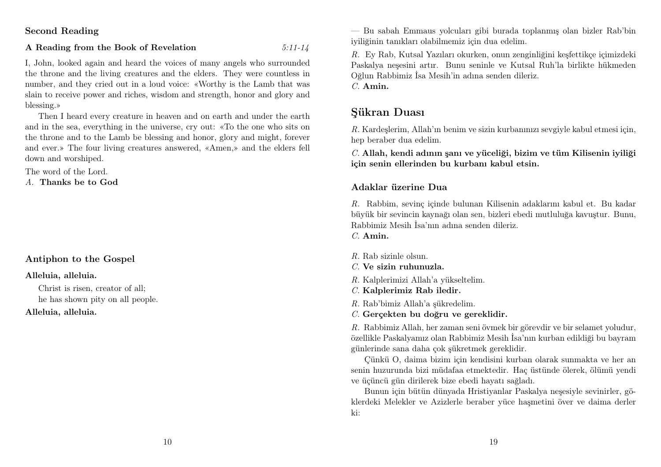Second Reading

#### A Reading from the Book of Revelation  $5:11-14$

I, John, looked again and heard the voices of many angels who surrounded the throne and the living creatures and the elders. They were countless in number, and they cried out in a loud voice: «Worthy is the Lamb that was slain to receive power and riches, wisdom and strength, honor and glory and blessing.»

Then I heard every creature in heaven and on earth and under the earth and in the sea, everything in the universe, cry out: «To the one who sits on the throne and to the Lamb be blessing and honor, glory and might, forever and ever.» The four living creatures answered, «Amen,» and the elders fell down and worshiped.

The word of the Lord.

A. Thanks be to God

## Antiphon to the Gospel

#### Alleluia, alleluia.

Christ is risen, creator of all; he has shown pity on all people. Alleluia, alleluia.

— Bu sabah Emmaus yolcuları gibi burada toplanmış olan bizler Rab'bin iyiliğinin tanıkları olabilmemiz için dua edelim.

R. Ey Rab, Kutsal Yazıları okurken, onun zenginliğini keşfettikçe içimizdeki Paskalya neşesini artır. Bunu seninle ve Kutsal Ruh'la birlikte hükmeden Oğlun Rabbimiz İsa Mesih'in adına senden dileriz. C. Amin.

## Şükran Duası

R. Kardeşlerim, Allah'ın benim ve sizin kurbanınızı sevgiyle kabul etmesi için, hep beraber dua edelim.

C. Allah, kendi adının şanı ve yüceliği, bizim ve tüm Kilisenin iyiliği için senin ellerinden bu kurbanı kabul etsin.

## Adaklar üzerine Dua

R. Rabbim, sevinç içinde bulunan Kilisenin adaklarını kabul et. Bu kadar büyük bir sevincin kaynağı olan sen, bizleri ebedi mutluluğa kavuştur. Bunu, Rabbimiz Mesih İsa'nın adına senden dileriz.

C. Amin.

 $R$ . Rab sizinle olsun.

C. Ve sizin ruhunuzla.

R. Kalplerimizi Allah'a yükseltelim.

C. Kalplerimiz Rab iledir.

R. Rab'bimiz Allah'a şükredelim.

C. Gerçekten bu doğru ve gereklidir.

R. Rabbimiz Allah, her zaman seni övmek bir görevdir ve bir selamet yoludur, özellikle Paskalyamız olan Rabbimiz Mesih İsa'nın kurban edildiği bu bayram günlerinde sana daha çok şükretmek gereklidir.

Çünkü O, daima bizim için kendisini kurban olarak sunmakta ve her an senin huzurunda bizi müdafaa etmektedir. Haç üstünde ölerek, ölümü yendi ve üçüncü gün dirilerek bize ebedi hayatı sağladı.

Bunun için bütün dünyada Hristiyanlar Paskalya neşesiyle sevinirler, göklerdeki Melekler ve Azizlerle beraber yüce haşmetini över ve daima derler ki: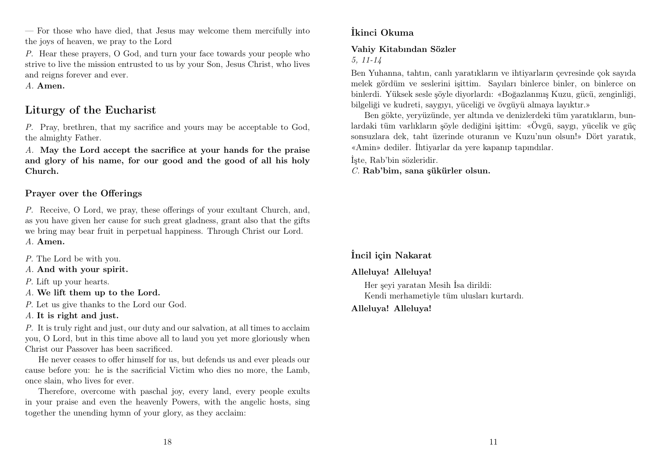— For those who have died, that Jesus may welcome them mercifully into the joys of heaven, we pray to the Lord

P. Hear these prayers, O God, and turn your face towards your people who strive to live the mission entrusted to us by your Son, Jesus Christ, who lives and reigns forever and ever.

A. Amen.

## Liturgy of the Eucharist

P. Pray, brethren, that my sacrifice and yours may be acceptable to God, the almighty Father.

A. May the Lord accept the sacrifice at your hands for the praise and glory of his name, for our good and the good of all his holy Church.

## Prayer over the Offerings

P. Receive, O Lord, we pray, these offerings of your exultant Church, and, as you have given her cause for such great gladness, grant also that the gifts we bring may bear fruit in perpetual happiness. Through Christ our Lord. A. Amen.

- P. The Lord be with you.
- A. And with your spirit.
- P. Lift up your hearts.
- A. We lift them up to the Lord.
- P. Let us give thanks to the Lord our God.
- A. It is right and just.

P. It is truly right and just, our duty and our salvation, at all times to acclaim you, O Lord, but in this time above all to laud you yet more gloriously when Christ our Passover has been sacrificed.

He never ceases to offer himself for us, but defends us and ever pleads our cause before you: he is the sacrificial Victim who dies no more, the Lamb, once slain, who lives for ever.

Therefore, overcome with paschal joy, every land, every people exults in your praise and even the heavenly Powers, with the angelic hosts, sing together the unending hymn of your glory, as they acclaim:

## İkinci Okuma

#### Vahiy Kitabından Sözler

5, 11-14

Ben Yuhanna, tahtın, canlı yaratıkların ve ihtiyarların çevresinde çok sayıda melek gördüm ve seslerini işittim. Sayıları binlerce binler, on binlerce on binlerdi. Yüksek sesle şöyle diyorlardı: «Boğazlanmış Kuzu, gücü, zenginliği, bilgeliği ve kudreti, saygıyı, yüceliği ve övgüyü almaya layıktır.»

Ben gökte, yeryüzünde, yer altında ve denizlerdeki tüm yaratıkların, bunlardaki tüm varlıkların şöyle dediğini işittim: «Övgü, saygı, yücelik ve güç sonsuzlara dek, taht üzerinde oturanın ve Kuzu'nun olsun!» Dört yaratık, «Amin» dediler. İhtiyarlar da yere kapanıp tapındılar.

İşte, Rab'bin sözleridir.

C. Rab'bim, sana şükürler olsun.

## İncil için Nakarat

## Alleluya! Alleluya!

Her şeyi yaratan Mesih İsa dirildi: Kendi merhametiyle tüm ulusları kurtardı.

Alleluya! Alleluya!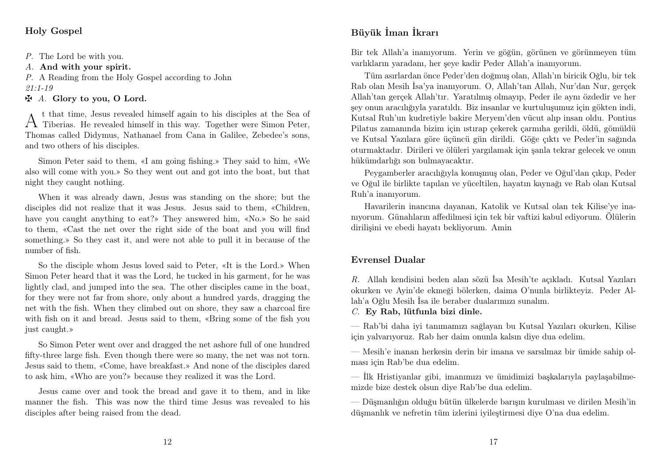## Holy Gospel

P. The Lord be with you.

A. And with your spirit.

P. A Reading from the Holy Gospel according to John 21:1-19

 $\mathbf{\ddot{A}}$ . Glory to you, O Lord.

A <sup>t that time, Jesus revealed himself again to his disciples at the Sea of Tiberias. He revealed himself in this way. Together were Simon Peter,</sup> t that time, Jesus revealed himself again to his disciples at the Sea of Thomas called Didymus, Nathanael from Cana in Galilee, Zebedee's sons, and two others of his disciples.

Simon Peter said to them, «I am going fishing.» They said to him, «We also will come with you.» So they went out and got into the boat, but that night they caught nothing.

When it was already dawn, Jesus was standing on the shore; but the disciples did not realize that it was Jesus. Jesus said to them, «Children, have you caught anything to eat?» They answered him, «No.» So he said to them, «Cast the net over the right side of the boat and you will find something.» So they cast it, and were not able to pull it in because of the number of fish.

So the disciple whom Jesus loved said to Peter, «It is the Lord.» When Simon Peter heard that it was the Lord, he tucked in his garment, for he was lightly clad, and jumped into the sea. The other disciples came in the boat, for they were not far from shore, only about a hundred yards, dragging the net with the fish. When they climbed out on shore, they saw a charcoal fire with fish on it and bread. Jesus said to them, «Bring some of the fish you just caught.»

So Simon Peter went over and dragged the net ashore full of one hundred fifty-three large fish. Even though there were so many, the net was not torn. Jesus said to them, «Come, have breakfast.» And none of the disciples dared to ask him, «Who are you?» because they realized it was the Lord.

Jesus came over and took the bread and gave it to them, and in like manner the fish. This was now the third time Jesus was revealed to his disciples after being raised from the dead.

## Büyük İman İkrarı

Bir tek Allah'a inanıyorum. Yerin ve göğün, görünen ve görünmeyen tüm varlıkların yaradanı, her şeye kadir Peder Allah'a inanıyorum.

Tüm asırlardan önce Peder'den doğmuş olan, Allah'ın biricik Oğlu, bir tek Rab olan Mesih İsa'ya inanıyorum. O, Allah'tan Allah, Nur'dan Nur, gerçek Allah'tan gerçek Allah'tır. Yaratılmış olmayıp, Peder ile aynı özdedir ve her şey onun aracılığıyla yaratıldı. Biz insanlar ve kurtuluşumuz için gökten indi, Kutsal Ruh'un kudretiyle bakire Meryem'den vücut alıp insan oldu. Pontius Pilatus zamanında bizim için ıstırap çekerek çarmıha gerildi, öldü, gömüldü ve Kutsal Yazılara göre üçüncü gün dirildi. Göğe çıktı ve Peder'in sağında oturmaktadır. Dirileri ve ölüleri yargılamak için şanla tekrar gelecek ve onun hükümdarlığı son bulmayacaktır.

Peygamberler aracılığıyla konuşmuş olan, Peder ve Oğul'dan çıkıp, Peder ve Oğul ile birlikte tapılan ve yüceltilen, hayatın kaynağı ve Rab olan Kutsal Ruh'a inanıyorum.

Havarilerin inancına dayanan, Katolik ve Kutsal olan tek Kilise'ye inanıyorum. Günahların affedilmesi için tek bir vaftizi kabul ediyorum. Ölülerin dirilişini ve ebedi hayatı bekliyorum. Amin

## Evrensel Dualar

R. Allah kendisini beden alan sözü İsa Mesih'te açıkladı. Kutsal Yazıları okurken ve Ayin'de ekmeği bölerken, daima O'nunla birlikteyiz. Peder Allah'a Oğlu Mesih İsa ile beraber dualarımızı sunalım.

C. Ey Rab, lütfunla bizi dinle.

— Rab'bi daha iyi tanımamızı sağlayan bu Kutsal Yazıları okurken, Kilise için yalvarıyoruz. Rab her daim onunla kalsın diye dua edelim.

— Mesih'e inanan herkesin derin bir imana ve sarsılmaz bir ümide sahip olması için Rab'be dua edelim.

— İlk Hristiyanlar gibi, imanımızı ve ümidimizi başkalarıyla paylaşabilmemizde bize destek olsun diye Rab'be dua edelim.

— Düşmanlığın olduğu bütün ülkelerde barışın kurulması ve dirilen Mesih'in düşmanlık ve nefretin tüm izlerini iyileştirmesi diye O'na dua edelim.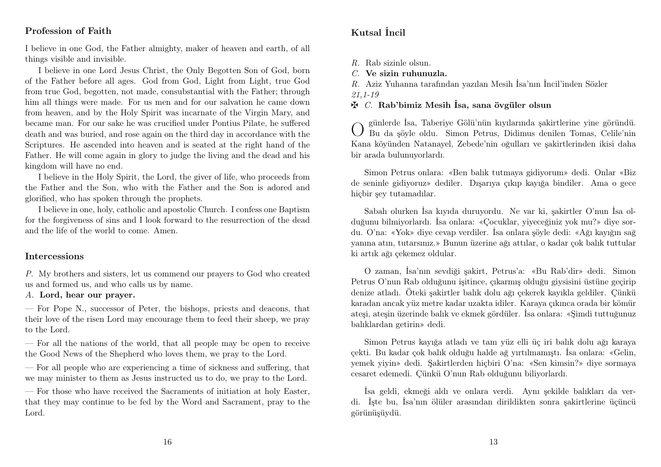## Profession of Faith

I believe in one God, the Father almighty, maker of heaven and earth, of all things visible and invisible.

I believe in one Lord Jesus Christ, the Only Begotten Son of God, born of the Father before all ages. God from God, Light from Light, true God from true God, begotten, not made, consubstantial with the Father; through him all things were made. For us men and for our salvation he came down from heaven, and by the Holy Spirit was incarnate of the Virgin Mary, and became man. For our sake he was crucified under Pontius Pilate, he suffered death and was buried, and rose again on the third day in accordance with the Scriptures. He ascended into heaven and is seated at the right hand of the Father. He will come again in glory to judge the living and the dead and his kingdom will have no end.

I believe in the Holy Spirit, the Lord, the giver of life, who proceeds from the Father and the Son, who with the Father and the Son is adored and glorified, who has spoken through the prophets.

I believe in one, holy, catholic and apostolic Church. I confess one Baptism for the forgiveness of sins and I look forward to the resurrection of the dead and the life of the world to come. Amen.

#### **Intercessions**

P. My brothers and sisters, let us commend our prayers to God who created us and formed us, and who calls us by name.

## A. Lord, hear our prayer.

— For Pope N., successor of Peter, the bishops, priests and deacons, that their love of the risen Lord may encourage them to feed their sheep, we pray to the Lord.

— For all the nations of the world, that all people may be open to receive the Good News of the Shepherd who loves them, we pray to the Lord.

— For all people who are experiencing a time of sickness and suffering, that we may minister to them as Jesus instructed us to do, we pray to the Lord.

— For those who have received the Sacraments of initiation at holy Easter, that they may continue to be fed by the Word and Sacrament, pray to the Lord.

## Kutsal İncil

R. Rab sizinle olsun.

C. Ve sizin ruhunuzla.

R. Aziz Yuhanna tarafından yazılan Mesih İsa'nın İncil'inden Sözler 21,1-19

 $\mathbf{\Phi}$  C. Rab'bimiz Mesih İsa, sana övgüler olsun

O günlerde İsa, Taberiye Gölü'nün kıyılarında şakirtlerine yine göründü. Bu da şöyle oldu. Simon Petrus, Didimus denilen Tomas, Celile'nin Kana köyünden Natanayel, Zebede'nin oğulları ve şakirtlerinden ikisi daha bir arada bulunuyorlardı.

Simon Petrus onlara: «Ben balık tutmaya gidiyorum» dedi. Onlar «Biz de seninle gidiyoruz» dediler. Dışarıya çıkıp kayığa bindiler. Ama o gece hiçbir şey tutamadılar.

Sabah olurken İsa kıyıda duruyordu. Ne var ki, şakirtler O'nun İsa olduğunu bilmiyorlardı. İsa onlara: «Çocuklar, yiyeceğiniz yok mu?» diye sordu. O'na: «Yok» diye cevap verdiler. İsa onlara şöyle dedi: «Ağı kayığın sağ yanına atın, tutarsınız.» Bunun üzerine ağı attılar, o kadar çok balık tuttular ki artık ağı çekemez oldular.

O zaman, İsa'nın sevdiği şakirt, Petrus'a: «Bu Rab'dir» dedi. Simon Petrus O'nun Rab olduğunu işitince, çıkarmış olduğu giysisini üstüne geçirip denize atladı. Öteki şakirtler balık dolu ağı çekerek kayıkla geldiler. Çünkü karadan ancak yüz metre kadar uzakta idiler. Karaya çıkınca orada bir kömür ateşi, ateşin üzerinde balık ve ekmek gördüler. İsa onlara: «Şimdi tuttuğunuz balıklardan getirin» dedi.

Simon Petrus kayığa atladı ve tam yüz elli üç iri balık dolu ağı karaya çekti. Bu kadar çok balık olduğu halde ağ yırtılmamıştı. İsa onlara: «Gelin, yemek yiyin» dedi. Şakirtlerden hiçbiri O'na: «Sen kimsin?» diye sormaya cesaret edemedi. Çünkü O'nun Rab olduğunu biliyorlardı.

İsa geldi, ekmeği aldı ve onlara verdi. Aynı şekilde balıkları da verdi. İşte bu, İsa'nın ölüler arasından dirildikten sonra şakirtlerine üçüncü görünüşüydü.